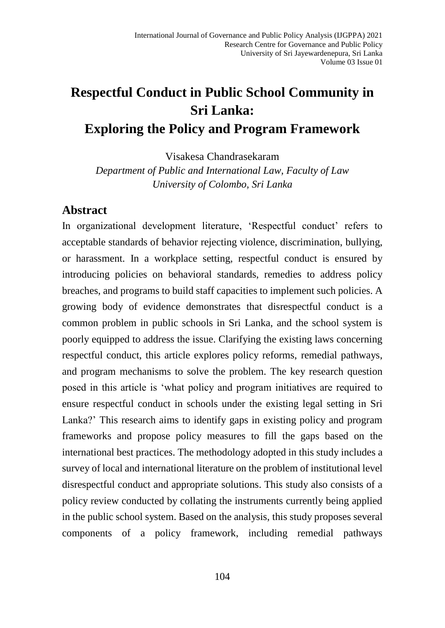# **Respectful Conduct in Public School Community in Sri Lanka: Exploring the Policy and Program Framework**

Visakesa Chandrasekaram

*Department of Public and International Law, Faculty of Law University of Colombo, Sri Lanka*

#### **Abstract**

In organizational development literature, 'Respectful conduct' refers to acceptable standards of behavior rejecting violence, discrimination, bullying, or harassment. In a workplace setting, respectful conduct is ensured by introducing policies on behavioral standards, remedies to address policy breaches, and programs to build staff capacities to implement such policies. A growing body of evidence demonstrates that disrespectful conduct is a common problem in public schools in Sri Lanka, and the school system is poorly equipped to address the issue. Clarifying the existing laws concerning respectful conduct, this article explores policy reforms, remedial pathways, and program mechanisms to solve the problem. The key research question posed in this article is 'what policy and program initiatives are required to ensure respectful conduct in schools under the existing legal setting in Sri Lanka?' This research aims to identify gaps in existing policy and program frameworks and propose policy measures to fill the gaps based on the international best practices. The methodology adopted in this study includes a survey of local and international literature on the problem of institutional level disrespectful conduct and appropriate solutions. This study also consists of a policy review conducted by collating the instruments currently being applied in the public school system. Based on the analysis, this study proposes several components of a policy framework, including remedial pathways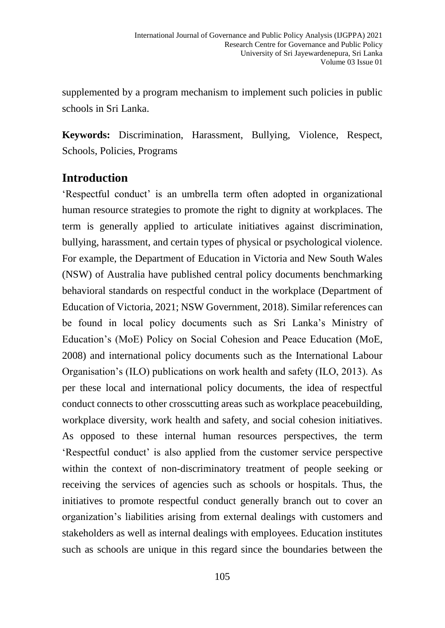supplemented by a program mechanism to implement such policies in public schools in Sri Lanka.

**Keywords:** Discrimination, Harassment, Bullying, Violence, Respect, Schools, Policies, Programs

# **Introduction**

'Respectful conduct' is an umbrella term often adopted in organizational human resource strategies to promote the right to dignity at workplaces. The term is generally applied to articulate initiatives against discrimination, bullying, harassment, and certain types of physical or psychological violence. For example, the Department of Education in Victoria and New South Wales (NSW) of Australia have published central policy documents benchmarking behavioral standards on respectful conduct in the workplace (Department of Education of Victoria, 2021; NSW Government, 2018). Similar references can be found in local policy documents such as Sri Lanka's Ministry of Education's (MoE) Policy on Social Cohesion and Peace Education (MoE, 2008) and international policy documents such as the International Labour Organisation's (ILO) publications on work health and safety (ILO, 2013). As per these local and international policy documents, the idea of respectful conduct connects to other crosscutting areas such as workplace peacebuilding, workplace diversity, work health and safety, and social cohesion initiatives. As opposed to these internal human resources perspectives, the term 'Respectful conduct' is also applied from the customer service perspective within the context of non-discriminatory treatment of people seeking or receiving the services of agencies such as schools or hospitals. Thus, the initiatives to promote respectful conduct generally branch out to cover an organization's liabilities arising from external dealings with customers and stakeholders as well as internal dealings with employees. Education institutes such as schools are unique in this regard since the boundaries between the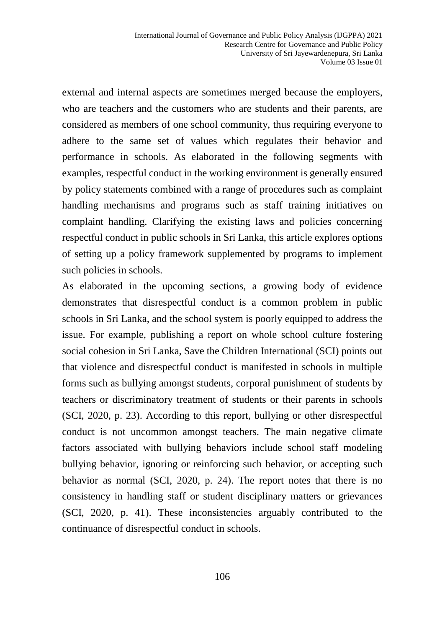external and internal aspects are sometimes merged because the employers, who are teachers and the customers who are students and their parents, are considered as members of one school community, thus requiring everyone to adhere to the same set of values which regulates their behavior and performance in schools. As elaborated in the following segments with examples, respectful conduct in the working environment is generally ensured by policy statements combined with a range of procedures such as complaint handling mechanisms and programs such as staff training initiatives on complaint handling. Clarifying the existing laws and policies concerning respectful conduct in public schools in Sri Lanka, this article explores options of setting up a policy framework supplemented by programs to implement such policies in schools.

As elaborated in the upcoming sections, a growing body of evidence demonstrates that disrespectful conduct is a common problem in public schools in Sri Lanka, and the school system is poorly equipped to address the issue. For example, publishing a report on whole school culture fostering social cohesion in Sri Lanka, Save the Children International (SCI) points out that violence and disrespectful conduct is manifested in schools in multiple forms such as bullying amongst students, corporal punishment of students by teachers or discriminatory treatment of students or their parents in schools (SCI, 2020, p. 23). According to this report, bullying or other disrespectful conduct is not uncommon amongst teachers. The main negative climate factors associated with bullying behaviors include school staff modeling bullying behavior, ignoring or reinforcing such behavior, or accepting such behavior as normal (SCI, 2020, p. 24). The report notes that there is no consistency in handling staff or student disciplinary matters or grievances (SCI, 2020, p. 41). These inconsistencies arguably contributed to the continuance of disrespectful conduct in schools.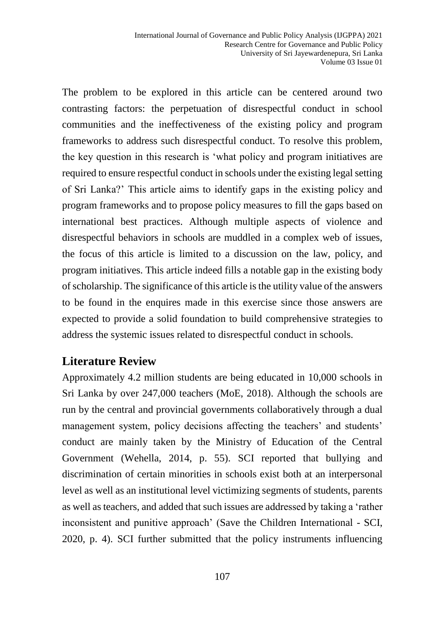The problem to be explored in this article can be centered around two contrasting factors: the perpetuation of disrespectful conduct in school communities and the ineffectiveness of the existing policy and program frameworks to address such disrespectful conduct. To resolve this problem, the key question in this research is 'what policy and program initiatives are required to ensure respectful conduct in schools under the existing legal setting of Sri Lanka?' This article aims to identify gaps in the existing policy and program frameworks and to propose policy measures to fill the gaps based on international best practices. Although multiple aspects of violence and disrespectful behaviors in schools are muddled in a complex web of issues, the focus of this article is limited to a discussion on the law, policy, and program initiatives. This article indeed fills a notable gap in the existing body of scholarship. The significance of this article is the utility value of the answers to be found in the enquires made in this exercise since those answers are expected to provide a solid foundation to build comprehensive strategies to address the systemic issues related to disrespectful conduct in schools.

## **Literature Review**

Approximately 4.2 million students are being educated in 10,000 schools in Sri Lanka by over 247,000 teachers (MoE, 2018). Although the schools are run by the central and provincial governments collaboratively through a dual management system, policy decisions affecting the teachers' and students' conduct are mainly taken by the Ministry of Education of the Central Government (Wehella, 2014, p. 55). SCI reported that bullying and discrimination of certain minorities in schools exist both at an interpersonal level as well as an institutional level victimizing segments of students, parents as well as teachers, and added that such issues are addressed by taking a 'rather inconsistent and punitive approach' (Save the Children International - SCI, 2020, p. 4). SCI further submitted that the policy instruments influencing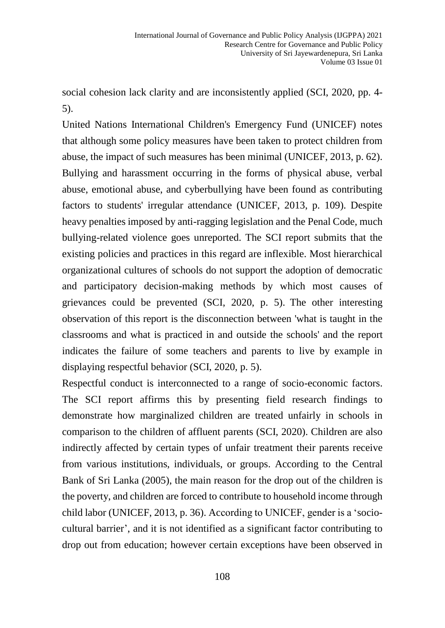social cohesion lack clarity and are inconsistently applied (SCI, 2020, pp. 4- 5).

United Nations International Children's Emergency Fund (UNICEF) notes that although some policy measures have been taken to protect children from abuse, the impact of such measures has been minimal (UNICEF, 2013, p. 62). Bullying and harassment occurring in the forms of physical abuse, verbal abuse, emotional abuse, and cyberbullying have been found as contributing factors to students' irregular attendance (UNICEF, 2013, p. 109). Despite heavy penalties imposed by anti-ragging legislation and the Penal Code, much bullying-related violence goes unreported. The SCI report submits that the existing policies and practices in this regard are inflexible. Most hierarchical organizational cultures of schools do not support the adoption of democratic and participatory decision-making methods by which most causes of grievances could be prevented (SCI, 2020, p. 5). The other interesting observation of this report is the disconnection between 'what is taught in the classrooms and what is practiced in and outside the schools' and the report indicates the failure of some teachers and parents to live by example in displaying respectful behavior (SCI, 2020, p. 5).

Respectful conduct is interconnected to a range of socio-economic factors. The SCI report affirms this by presenting field research findings to demonstrate how marginalized children are treated unfairly in schools in comparison to the children of affluent parents (SCI, 2020). Children are also indirectly affected by certain types of unfair treatment their parents receive from various institutions, individuals, or groups. According to the Central Bank of Sri Lanka (2005), the main reason for the drop out of the children is the poverty, and children are forced to contribute to household income through child labor (UNICEF, 2013, p. 36). According to UNICEF, gender is a 'sociocultural barrier', and it is not identified as a significant factor contributing to drop out from education; however certain exceptions have been observed in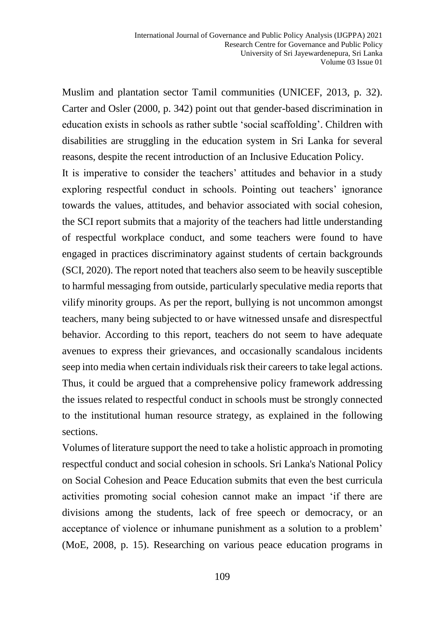Muslim and plantation sector Tamil communities (UNICEF, 2013, p. 32). Carter and Osler (2000, p. 342) point out that gender-based discrimination in education exists in schools as rather subtle 'social scaffolding'. Children with disabilities are struggling in the education system in Sri Lanka for several reasons, despite the recent introduction of an Inclusive Education Policy.

It is imperative to consider the teachers' attitudes and behavior in a study exploring respectful conduct in schools. Pointing out teachers' ignorance towards the values, attitudes, and behavior associated with social cohesion, the SCI report submits that a majority of the teachers had little understanding of respectful workplace conduct, and some teachers were found to have engaged in practices discriminatory against students of certain backgrounds (SCI, 2020). The report noted that teachers also seem to be heavily susceptible to harmful messaging from outside, particularly speculative media reports that vilify minority groups. As per the report, bullying is not uncommon amongst teachers, many being subjected to or have witnessed unsafe and disrespectful behavior. According to this report, teachers do not seem to have adequate avenues to express their grievances, and occasionally scandalous incidents seep into media when certain individuals risk their careers to take legal actions. Thus, it could be argued that a comprehensive policy framework addressing the issues related to respectful conduct in schools must be strongly connected to the institutional human resource strategy, as explained in the following sections.

Volumes of literature support the need to take a holistic approach in promoting respectful conduct and social cohesion in schools. Sri Lanka's National Policy on Social Cohesion and Peace Education submits that even the best curricula activities promoting social cohesion cannot make an impact 'if there are divisions among the students, lack of free speech or democracy, or an acceptance of violence or inhumane punishment as a solution to a problem' (MoE, 2008, p. 15). Researching on various peace education programs in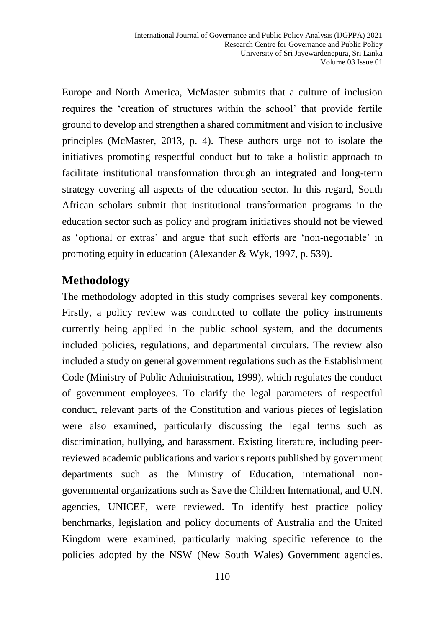Europe and North America, McMaster submits that a culture of inclusion requires the 'creation of structures within the school' that provide fertile ground to develop and strengthen a shared commitment and vision to inclusive principles (McMaster, 2013, p. 4). These authors urge not to isolate the initiatives promoting respectful conduct but to take a holistic approach to facilitate institutional transformation through an integrated and long-term strategy covering all aspects of the education sector. In this regard, South African scholars submit that institutional transformation programs in the education sector such as policy and program initiatives should not be viewed as 'optional or extras' and argue that such efforts are 'non-negotiable' in promoting equity in education (Alexander & Wyk, 1997, p. 539).

# **Methodology**

The methodology adopted in this study comprises several key components. Firstly, a policy review was conducted to collate the policy instruments currently being applied in the public school system, and the documents included policies, regulations, and departmental circulars. The review also included a study on general government regulations such as the Establishment Code (Ministry of Public Administration, 1999), which regulates the conduct of government employees. To clarify the legal parameters of respectful conduct, relevant parts of the Constitution and various pieces of legislation were also examined, particularly discussing the legal terms such as discrimination, bullying, and harassment. Existing literature, including peerreviewed academic publications and various reports published by government departments such as the Ministry of Education, international nongovernmental organizations such as Save the Children International, and U.N. agencies, UNICEF, were reviewed. To identify best practice policy benchmarks, legislation and policy documents of Australia and the United Kingdom were examined, particularly making specific reference to the policies adopted by the NSW (New South Wales) Government agencies.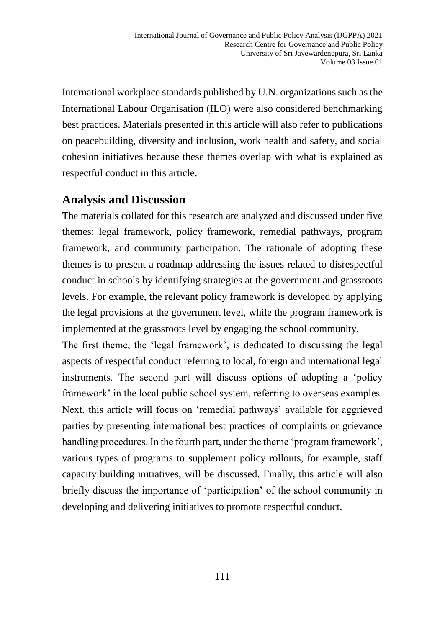International workplace standards published by U.N. organizations such as the International Labour Organisation (ILO) were also considered benchmarking best practices. Materials presented in this article will also refer to publications on peacebuilding, diversity and inclusion, work health and safety, and social cohesion initiatives because these themes overlap with what is explained as respectful conduct in this article.

## **Analysis and Discussion**

The materials collated for this research are analyzed and discussed under five themes: legal framework, policy framework, remedial pathways, program framework, and community participation. The rationale of adopting these themes is to present a roadmap addressing the issues related to disrespectful conduct in schools by identifying strategies at the government and grassroots levels. For example, the relevant policy framework is developed by applying the legal provisions at the government level, while the program framework is implemented at the grassroots level by engaging the school community.

The first theme, the 'legal framework', is dedicated to discussing the legal aspects of respectful conduct referring to local, foreign and international legal instruments. The second part will discuss options of adopting a 'policy framework' in the local public school system, referring to overseas examples. Next, this article will focus on 'remedial pathways' available for aggrieved parties by presenting international best practices of complaints or grievance handling procedures. In the fourth part, under the theme 'program framework', various types of programs to supplement policy rollouts, for example, staff capacity building initiatives, will be discussed. Finally, this article will also briefly discuss the importance of 'participation' of the school community in developing and delivering initiatives to promote respectful conduct.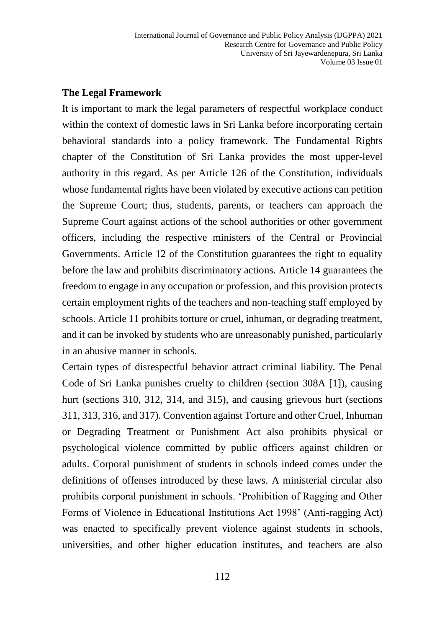#### **The Legal Framework**

It is important to mark the legal parameters of respectful workplace conduct within the context of domestic laws in Sri Lanka before incorporating certain behavioral standards into a policy framework. The Fundamental Rights chapter of the Constitution of Sri Lanka provides the most upper-level authority in this regard. As per Article 126 of the Constitution, individuals whose fundamental rights have been violated by executive actions can petition the Supreme Court; thus, students, parents, or teachers can approach the Supreme Court against actions of the school authorities or other government officers, including the respective ministers of the Central or Provincial Governments. Article 12 of the Constitution guarantees the right to equality before the law and prohibits discriminatory actions. Article 14 guarantees the freedom to engage in any occupation or profession, and this provision protects certain employment rights of the teachers and non-teaching staff employed by schools. Article 11 prohibits torture or cruel, inhuman, or degrading treatment, and it can be invoked by students who are unreasonably punished, particularly in an abusive manner in schools.

Certain types of disrespectful behavior attract criminal liability. The Penal Code of Sri Lanka punishes cruelty to children (section 308A [1]), causing hurt (sections 310, 312, 314, and 315), and causing grievous hurt (sections 311, 313, 316, and 317). Convention against Torture and other Cruel, Inhuman or Degrading Treatment or Punishment Act also prohibits physical or psychological violence committed by public officers against children or adults. Corporal punishment of students in schools indeed comes under the definitions of offenses introduced by these laws. A ministerial circular also prohibits corporal punishment in schools. 'Prohibition of Ragging and Other Forms of Violence in Educational Institutions Act 1998' (Anti-ragging Act) was enacted to specifically prevent violence against students in schools, universities, and other higher education institutes, and teachers are also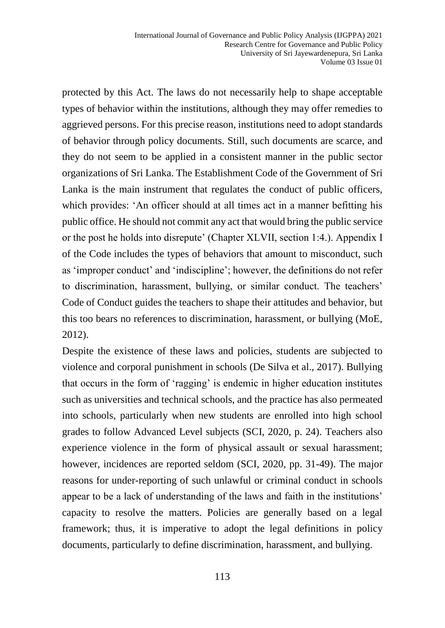protected by this Act. The laws do not necessarily help to shape acceptable types of behavior within the institutions, although they may offer remedies to aggrieved persons. For this precise reason, institutions need to adopt standards of behavior through policy documents. Still, such documents are scarce, and they do not seem to be applied in a consistent manner in the public sector organizations of Sri Lanka. The Establishment Code of the Government of Sri Lanka is the main instrument that regulates the conduct of public officers, which provides: 'An officer should at all times act in a manner befitting his public office. He should not commit any act that would bring the public service or the post he holds into disrepute' (Chapter XLVII, section 1:4.). Appendix I of the Code includes the types of behaviors that amount to misconduct, such as 'improper conduct' and 'indiscipline'; however, the definitions do not refer to discrimination, harassment, bullying, or similar conduct. The teachers' Code of Conduct guides the teachers to shape their attitudes and behavior, but this too bears no references to discrimination, harassment, or bullying (MoE, 2012).

Despite the existence of these laws and policies, students are subjected to violence and corporal punishment in schools (De Silva et al., 2017). Bullying that occurs in the form of 'ragging' is endemic in higher education institutes such as universities and technical schools, and the practice has also permeated into schools, particularly when new students are enrolled into high school grades to follow Advanced Level subjects (SCI, 2020, p. 24). Teachers also experience violence in the form of physical assault or sexual harassment; however, incidences are reported seldom (SCI, 2020, pp. 31-49). The major reasons for under-reporting of such unlawful or criminal conduct in schools appear to be a lack of understanding of the laws and faith in the institutions' capacity to resolve the matters. Policies are generally based on a legal framework; thus, it is imperative to adopt the legal definitions in policy documents, particularly to define discrimination, harassment, and bullying.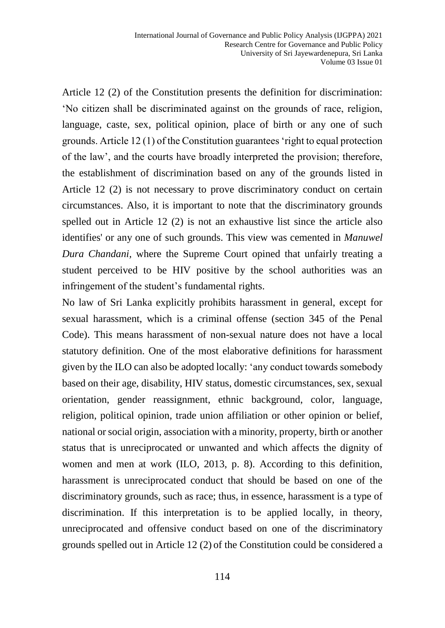Article 12 (2) of the Constitution presents the definition for discrimination: 'No citizen shall be discriminated against on the grounds of race, religion, language, caste, sex, political opinion, place of birth or any one of such grounds. Article 12 (1) of the Constitution guarantees 'right to equal protection of the law', and the courts have broadly interpreted the provision; therefore, the establishment of discrimination based on any of the grounds listed in Article 12 (2) is not necessary to prove discriminatory conduct on certain circumstances. Also, it is important to note that the discriminatory grounds spelled out in Article 12 (2) is not an exhaustive list since the article also identifies' or any one of such grounds. This view was cemented in *Manuwel Dura Chandani,* where the Supreme Court opined that unfairly treating a student perceived to be HIV positive by the school authorities was an infringement of the student's fundamental rights.

No law of Sri Lanka explicitly prohibits harassment in general, except for sexual harassment, which is a criminal offense (section 345 of the Penal Code). This means harassment of non-sexual nature does not have a local statutory definition. One of the most elaborative definitions for harassment given by the ILO can also be adopted locally: 'any conduct towards somebody based on their age, disability, HIV status, domestic circumstances, sex, sexual orientation, gender reassignment, ethnic background, color, language, religion, political opinion, trade union affiliation or other opinion or belief, national or social origin, association with a minority, property, birth or another status that is unreciprocated or unwanted and which affects the dignity of women and men at work (ILO, 2013, p. 8). According to this definition, harassment is unreciprocated conduct that should be based on one of the discriminatory grounds, such as race; thus, in essence, harassment is a type of discrimination. If this interpretation is to be applied locally, in theory, unreciprocated and offensive conduct based on one of the discriminatory grounds spelled out in Article 12 (2) of the Constitution could be considered a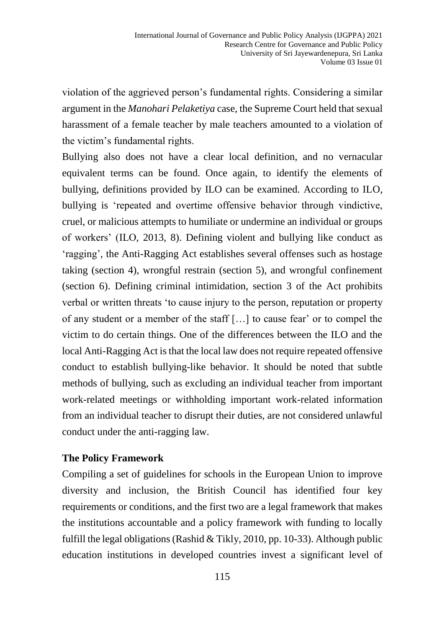violation of the aggrieved person's fundamental rights. Considering a similar argument in the *Manohari Pelaketiya* case*,* the Supreme Court held that sexual harassment of a female teacher by male teachers amounted to a violation of the victim's fundamental rights.

Bullying also does not have a clear local definition, and no vernacular equivalent terms can be found. Once again, to identify the elements of bullying, definitions provided by ILO can be examined. According to ILO, bullying is 'repeated and overtime offensive behavior through vindictive, cruel, or malicious attempts to humiliate or undermine an individual or groups of workers' (ILO, 2013, 8). Defining violent and bullying like conduct as 'ragging', the Anti-Ragging Act establishes several offenses such as hostage taking (section 4), wrongful restrain (section 5), and wrongful confinement (section 6). Defining criminal intimidation, section 3 of the Act prohibits verbal or written threats 'to cause injury to the person, reputation or property of any student or a member of the staff […] to cause fear' or to compel the victim to do certain things. One of the differences between the ILO and the local Anti-Ragging Act is that the local law does not require repeated offensive conduct to establish bullying-like behavior. It should be noted that subtle methods of bullying, such as excluding an individual teacher from important work-related meetings or withholding important work-related information from an individual teacher to disrupt their duties, are not considered unlawful conduct under the anti-ragging law.

#### **The Policy Framework**

Compiling a set of guidelines for schools in the European Union to improve diversity and inclusion, the British Council has identified four key requirements or conditions, and the first two are a legal framework that makes the institutions accountable and a policy framework with funding to locally fulfill the legal obligations (Rashid & Tikly, 2010, pp. 10-33). Although public education institutions in developed countries invest a significant level of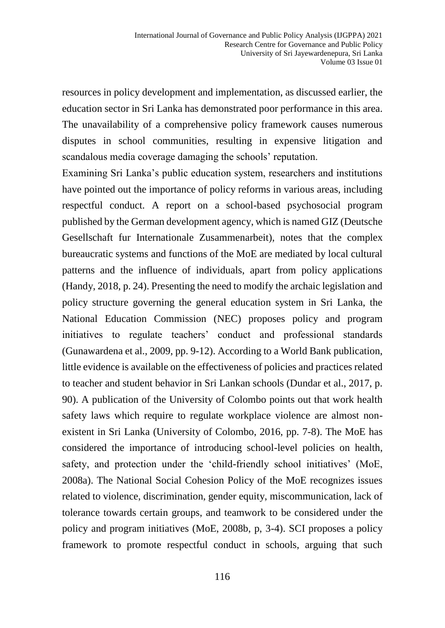resources in policy development and implementation, as discussed earlier, the education sector in Sri Lanka has demonstrated poor performance in this area. The unavailability of a comprehensive policy framework causes numerous disputes in school communities, resulting in expensive litigation and scandalous media coverage damaging the schools' reputation.

Examining Sri Lanka's public education system, researchers and institutions have pointed out the importance of policy reforms in various areas, including respectful conduct. A report on a school-based psychosocial program published by the German development agency, which is named GIZ (Deutsche Gesellschaft fur Internationale Zusammenarbeit), notes that the complex bureaucratic systems and functions of the MoE are mediated by local cultural patterns and the influence of individuals, apart from policy applications (Handy, 2018, p. 24). Presenting the need to modify the archaic legislation and policy structure governing the general education system in Sri Lanka, the National Education Commission (NEC) proposes policy and program initiatives to regulate teachers' conduct and professional standards (Gunawardena et al., 2009, pp. 9-12). According to a World Bank publication, little evidence is available on the effectiveness of policies and practices related to teacher and student behavior in Sri Lankan schools (Dundar et al., 2017, p. 90). A publication of the University of Colombo points out that work health safety laws which require to regulate workplace violence are almost nonexistent in Sri Lanka (University of Colombo, 2016, pp. 7-8). The MoE has considered the importance of introducing school-level policies on health, safety, and protection under the 'child-friendly school initiatives' (MoE, 2008a). The National Social Cohesion Policy of the MoE recognizes issues related to violence, discrimination, gender equity, miscommunication, lack of tolerance towards certain groups, and teamwork to be considered under the policy and program initiatives (MoE, 2008b, p, 3-4). SCI proposes a policy framework to promote respectful conduct in schools, arguing that such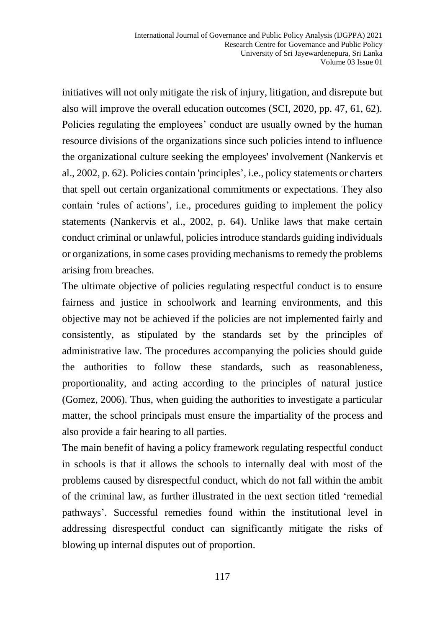initiatives will not only mitigate the risk of injury, litigation, and disrepute but also will improve the overall education outcomes (SCI, 2020, pp. 47, 61, 62). Policies regulating the employees' conduct are usually owned by the human resource divisions of the organizations since such policies intend to influence the organizational culture seeking the employees' involvement (Nankervis et al., 2002, p. 62). Policies contain 'principles', i.e., policy statements or charters that spell out certain organizational commitments or expectations. They also contain 'rules of actions', i.e., procedures guiding to implement the policy statements (Nankervis et al., 2002, p. 64). Unlike laws that make certain conduct criminal or unlawful, policies introduce standards guiding individuals or organizations, in some cases providing mechanisms to remedy the problems arising from breaches.

The ultimate objective of policies regulating respectful conduct is to ensure fairness and justice in schoolwork and learning environments, and this objective may not be achieved if the policies are not implemented fairly and consistently, as stipulated by the standards set by the principles of administrative law. The procedures accompanying the policies should guide the authorities to follow these standards, such as reasonableness, proportionality, and acting according to the principles of natural justice (Gomez, 2006). Thus, when guiding the authorities to investigate a particular matter, the school principals must ensure the impartiality of the process and also provide a fair hearing to all parties.

The main benefit of having a policy framework regulating respectful conduct in schools is that it allows the schools to internally deal with most of the problems caused by disrespectful conduct, which do not fall within the ambit of the criminal law, as further illustrated in the next section titled 'remedial pathways'. Successful remedies found within the institutional level in addressing disrespectful conduct can significantly mitigate the risks of blowing up internal disputes out of proportion.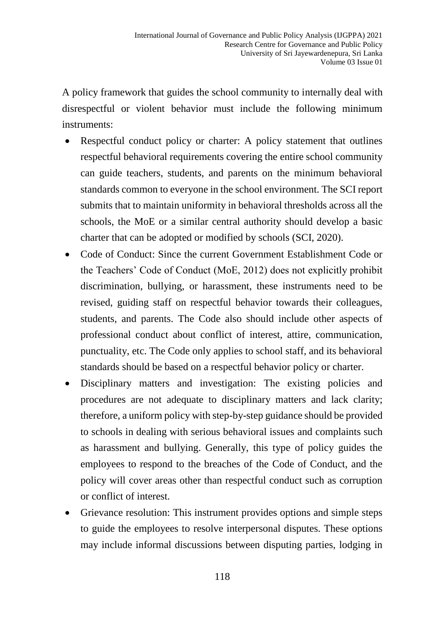A policy framework that guides the school community to internally deal with disrespectful or violent behavior must include the following minimum instruments:

- Respectful conduct policy or charter: A policy statement that outlines respectful behavioral requirements covering the entire school community can guide teachers, students, and parents on the minimum behavioral standards common to everyone in the school environment. The SCI report submits that to maintain uniformity in behavioral thresholds across all the schools, the MoE or a similar central authority should develop a basic charter that can be adopted or modified by schools (SCI, 2020).
- Code of Conduct: Since the current Government Establishment Code or the Teachers' Code of Conduct (MoE, 2012) does not explicitly prohibit discrimination, bullying, or harassment, these instruments need to be revised, guiding staff on respectful behavior towards their colleagues, students, and parents. The Code also should include other aspects of professional conduct about conflict of interest, attire, communication, punctuality, etc. The Code only applies to school staff, and its behavioral standards should be based on a respectful behavior policy or charter.
- Disciplinary matters and investigation: The existing policies and procedures are not adequate to disciplinary matters and lack clarity; therefore, a uniform policy with step-by-step guidance should be provided to schools in dealing with serious behavioral issues and complaints such as harassment and bullying. Generally, this type of policy guides the employees to respond to the breaches of the Code of Conduct, and the policy will cover areas other than respectful conduct such as corruption or conflict of interest.
- Grievance resolution: This instrument provides options and simple steps to guide the employees to resolve interpersonal disputes. These options may include informal discussions between disputing parties, lodging in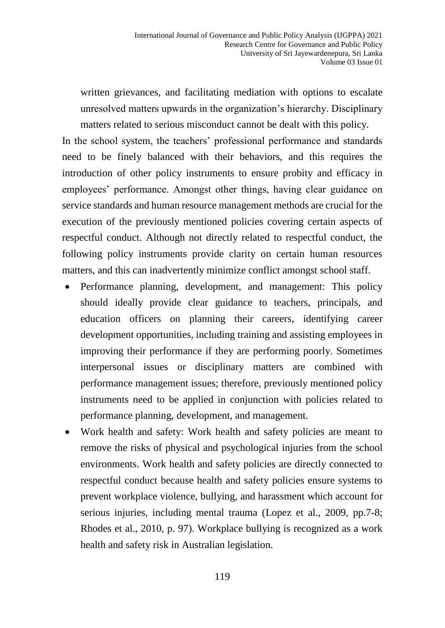written grievances, and facilitating mediation with options to escalate unresolved matters upwards in the organization's hierarchy. Disciplinary matters related to serious misconduct cannot be dealt with this policy.

In the school system, the teachers' professional performance and standards need to be finely balanced with their behaviors, and this requires the introduction of other policy instruments to ensure probity and efficacy in employees' performance. Amongst other things, having clear guidance on service standards and human resource management methods are crucial for the execution of the previously mentioned policies covering certain aspects of respectful conduct. Although not directly related to respectful conduct, the following policy instruments provide clarity on certain human resources matters, and this can inadvertently minimize conflict amongst school staff.

- Performance planning, development, and management: This policy should ideally provide clear guidance to teachers, principals, and education officers on planning their careers, identifying career development opportunities, including training and assisting employees in improving their performance if they are performing poorly. Sometimes interpersonal issues or disciplinary matters are combined with performance management issues; therefore, previously mentioned policy instruments need to be applied in conjunction with policies related to performance planning, development, and management.
- Work health and safety: Work health and safety policies are meant to remove the risks of physical and psychological injuries from the school environments. Work health and safety policies are directly connected to respectful conduct because health and safety policies ensure systems to prevent workplace violence, bullying, and harassment which account for serious injuries, including mental trauma (Lopez et al., 2009, pp.7-8; Rhodes et al., 2010, p. 97). Workplace bullying is recognized as a work health and safety risk in Australian legislation.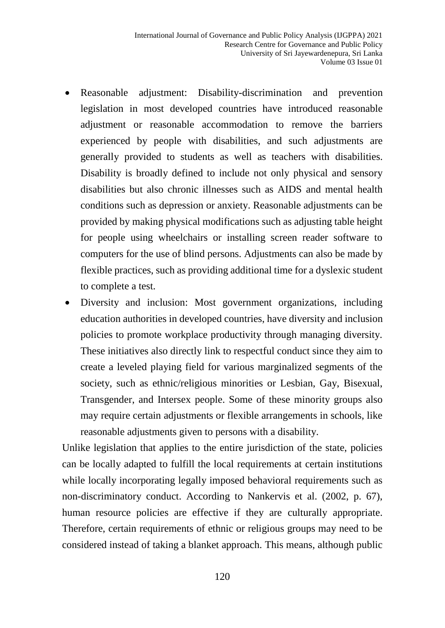- Reasonable adjustment: Disability-discrimination and prevention legislation in most developed countries have introduced reasonable adjustment or reasonable accommodation to remove the barriers experienced by people with disabilities, and such adjustments are generally provided to students as well as teachers with disabilities. Disability is broadly defined to include not only physical and sensory disabilities but also chronic illnesses such as AIDS and mental health conditions such as depression or anxiety. Reasonable adjustments can be provided by making physical modifications such as adjusting table height for people using wheelchairs or installing screen reader software to computers for the use of blind persons. Adjustments can also be made by flexible practices, such as providing additional time for a dyslexic student to complete a test.
- Diversity and inclusion: Most government organizations, including education authorities in developed countries, have diversity and inclusion policies to promote workplace productivity through managing diversity. These initiatives also directly link to respectful conduct since they aim to create a leveled playing field for various marginalized segments of the society, such as ethnic/religious minorities or Lesbian, Gay, Bisexual, Transgender, and Intersex people. Some of these minority groups also may require certain adjustments or flexible arrangements in schools, like reasonable adjustments given to persons with a disability.

Unlike legislation that applies to the entire jurisdiction of the state, policies can be locally adapted to fulfill the local requirements at certain institutions while locally incorporating legally imposed behavioral requirements such as non-discriminatory conduct. According to Nankervis et al. (2002, p. 67), human resource policies are effective if they are culturally appropriate. Therefore, certain requirements of ethnic or religious groups may need to be considered instead of taking a blanket approach. This means, although public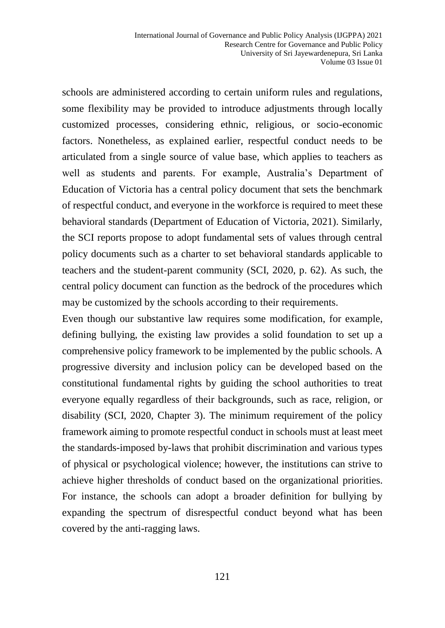schools are administered according to certain uniform rules and regulations, some flexibility may be provided to introduce adjustments through locally customized processes, considering ethnic, religious, or socio-economic factors. Nonetheless, as explained earlier, respectful conduct needs to be articulated from a single source of value base, which applies to teachers as well as students and parents. For example, Australia's Department of Education of Victoria has a central policy document that sets the benchmark of respectful conduct, and everyone in the workforce is required to meet these behavioral standards (Department of Education of Victoria, 2021). Similarly, the SCI reports propose to adopt fundamental sets of values through central policy documents such as a charter to set behavioral standards applicable to teachers and the student-parent community (SCI, 2020, p. 62). As such, the central policy document can function as the bedrock of the procedures which may be customized by the schools according to their requirements.

Even though our substantive law requires some modification, for example, defining bullying, the existing law provides a solid foundation to set up a comprehensive policy framework to be implemented by the public schools. A progressive diversity and inclusion policy can be developed based on the constitutional fundamental rights by guiding the school authorities to treat everyone equally regardless of their backgrounds, such as race, religion, or disability (SCI, 2020, Chapter 3). The minimum requirement of the policy framework aiming to promote respectful conduct in schools must at least meet the standards-imposed by-laws that prohibit discrimination and various types of physical or psychological violence; however, the institutions can strive to achieve higher thresholds of conduct based on the organizational priorities. For instance, the schools can adopt a broader definition for bullying by expanding the spectrum of disrespectful conduct beyond what has been covered by the anti-ragging laws.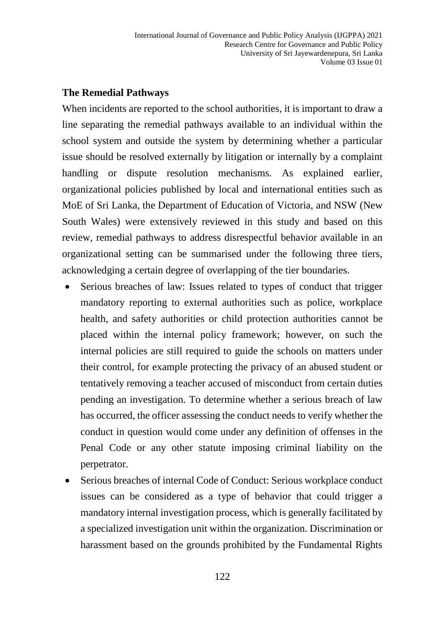#### **The Remedial Pathways**

When incidents are reported to the school authorities, it is important to draw a line separating the remedial pathways available to an individual within the school system and outside the system by determining whether a particular issue should be resolved externally by litigation or internally by a complaint handling or dispute resolution mechanisms. As explained earlier, organizational policies published by local and international entities such as MoE of Sri Lanka, the Department of Education of Victoria, and NSW (New South Wales) were extensively reviewed in this study and based on this review, remedial pathways to address disrespectful behavior available in an organizational setting can be summarised under the following three tiers, acknowledging a certain degree of overlapping of the tier boundaries.

- Serious breaches of law: Issues related to types of conduct that trigger mandatory reporting to external authorities such as police, workplace health, and safety authorities or child protection authorities cannot be placed within the internal policy framework; however, on such the internal policies are still required to guide the schools on matters under their control, for example protecting the privacy of an abused student or tentatively removing a teacher accused of misconduct from certain duties pending an investigation. To determine whether a serious breach of law has occurred, the officer assessing the conduct needs to verify whether the conduct in question would come under any definition of offenses in the Penal Code or any other statute imposing criminal liability on the perpetrator.
- Serious breaches of internal Code of Conduct: Serious workplace conduct issues can be considered as a type of behavior that could trigger a mandatory internal investigation process, which is generally facilitated by a specialized investigation unit within the organization. Discrimination or harassment based on the grounds prohibited by the Fundamental Rights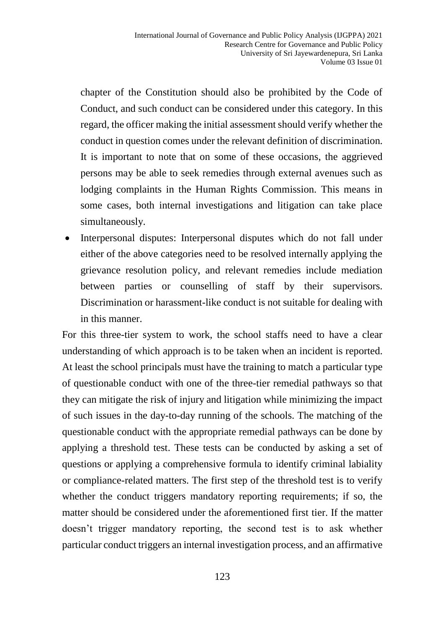chapter of the Constitution should also be prohibited by the Code of Conduct, and such conduct can be considered under this category. In this regard, the officer making the initial assessment should verify whether the conduct in question comes under the relevant definition of discrimination. It is important to note that on some of these occasions, the aggrieved persons may be able to seek remedies through external avenues such as lodging complaints in the Human Rights Commission. This means in some cases, both internal investigations and litigation can take place simultaneously.

• Interpersonal disputes: Interpersonal disputes which do not fall under either of the above categories need to be resolved internally applying the grievance resolution policy, and relevant remedies include mediation between parties or counselling of staff by their supervisors. Discrimination or harassment-like conduct is not suitable for dealing with in this manner.

For this three-tier system to work, the school staffs need to have a clear understanding of which approach is to be taken when an incident is reported. At least the school principals must have the training to match a particular type of questionable conduct with one of the three-tier remedial pathways so that they can mitigate the risk of injury and litigation while minimizing the impact of such issues in the day-to-day running of the schools. The matching of the questionable conduct with the appropriate remedial pathways can be done by applying a threshold test. These tests can be conducted by asking a set of questions or applying a comprehensive formula to identify criminal labiality or compliance-related matters. The first step of the threshold test is to verify whether the conduct triggers mandatory reporting requirements; if so, the matter should be considered under the aforementioned first tier. If the matter doesn't trigger mandatory reporting, the second test is to ask whether particular conduct triggers an internal investigation process, and an affirmative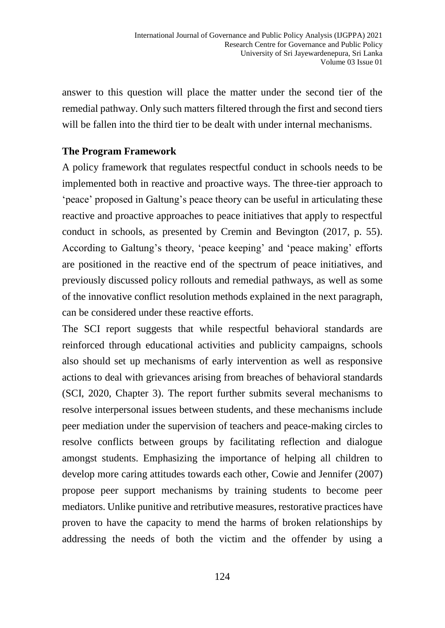answer to this question will place the matter under the second tier of the remedial pathway. Only such matters filtered through the first and second tiers will be fallen into the third tier to be dealt with under internal mechanisms.

#### **The Program Framework**

A policy framework that regulates respectful conduct in schools needs to be implemented both in reactive and proactive ways. The three-tier approach to 'peace' proposed in Galtung's peace theory can be useful in articulating these reactive and proactive approaches to peace initiatives that apply to respectful conduct in schools, as presented by Cremin and Bevington (2017, p. 55). According to Galtung's theory, 'peace keeping' and 'peace making' efforts are positioned in the reactive end of the spectrum of peace initiatives, and previously discussed policy rollouts and remedial pathways, as well as some of the innovative conflict resolution methods explained in the next paragraph, can be considered under these reactive efforts.

The SCI report suggests that while respectful behavioral standards are reinforced through educational activities and publicity campaigns, schools also should set up mechanisms of early intervention as well as responsive actions to deal with grievances arising from breaches of behavioral standards (SCI, 2020, Chapter 3). The report further submits several mechanisms to resolve interpersonal issues between students, and these mechanisms include peer mediation under the supervision of teachers and peace-making circles to resolve conflicts between groups by facilitating reflection and dialogue amongst students. Emphasizing the importance of helping all children to develop more caring attitudes towards each other, Cowie and Jennifer (2007) propose peer support mechanisms by training students to become peer mediators. Unlike punitive and retributive measures, restorative practices have proven to have the capacity to mend the harms of broken relationships by addressing the needs of both the victim and the offender by using a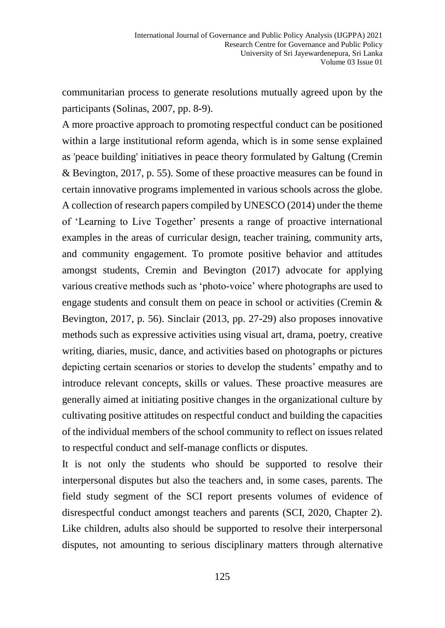communitarian process to generate resolutions mutually agreed upon by the participants (Solinas, 2007, pp. 8-9).

A more proactive approach to promoting respectful conduct can be positioned within a large institutional reform agenda, which is in some sense explained as 'peace building' initiatives in peace theory formulated by Galtung (Cremin & Bevington, 2017, p. 55). Some of these proactive measures can be found in certain innovative programs implemented in various schools across the globe. A collection of research papers compiled by UNESCO (2014) under the theme of 'Learning to Live Together' presents a range of proactive international examples in the areas of curricular design, teacher training, community arts, and community engagement. To promote positive behavior and attitudes amongst students, Cremin and Bevington (2017) advocate for applying various creative methods such as 'photo-voice' where photographs are used to engage students and consult them on peace in school or activities (Cremin  $\&$ Bevington, 2017, p. 56). Sinclair (2013, pp. 27-29) also proposes innovative methods such as expressive activities using visual art, drama, poetry, creative writing, diaries, music, dance, and activities based on photographs or pictures depicting certain scenarios or stories to develop the students' empathy and to introduce relevant concepts, skills or values. These proactive measures are generally aimed at initiating positive changes in the organizational culture by cultivating positive attitudes on respectful conduct and building the capacities of the individual members of the school community to reflect on issues related to respectful conduct and self-manage conflicts or disputes.

It is not only the students who should be supported to resolve their interpersonal disputes but also the teachers and, in some cases, parents. The field study segment of the SCI report presents volumes of evidence of disrespectful conduct amongst teachers and parents (SCI, 2020, Chapter 2). Like children, adults also should be supported to resolve their interpersonal disputes, not amounting to serious disciplinary matters through alternative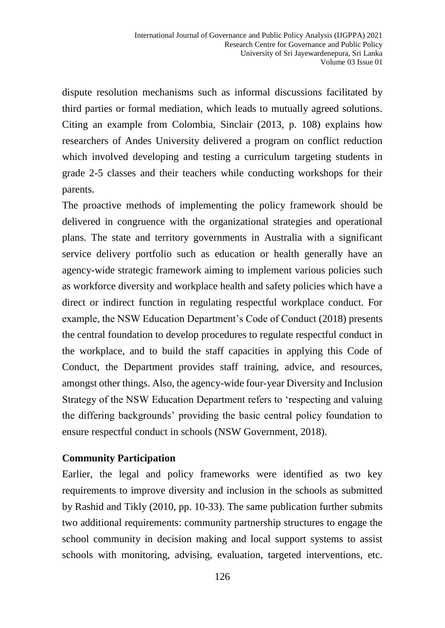dispute resolution mechanisms such as informal discussions facilitated by third parties or formal mediation, which leads to mutually agreed solutions. Citing an example from Colombia, Sinclair (2013, p. 108) explains how researchers of Andes University delivered a program on conflict reduction which involved developing and testing a curriculum targeting students in grade 2-5 classes and their teachers while conducting workshops for their parents.

The proactive methods of implementing the policy framework should be delivered in congruence with the organizational strategies and operational plans. The state and territory governments in Australia with a significant service delivery portfolio such as education or health generally have an agency-wide strategic framework aiming to implement various policies such as workforce diversity and workplace health and safety policies which have a direct or indirect function in regulating respectful workplace conduct. For example, the NSW Education Department's Code of Conduct (2018) presents the central foundation to develop procedures to regulate respectful conduct in the workplace, and to build the staff capacities in applying this Code of Conduct, the Department provides staff training, advice, and resources, amongst other things. Also, the agency-wide four-year Diversity and Inclusion Strategy of the NSW Education Department refers to 'respecting and valuing the differing backgrounds' providing the basic central policy foundation to ensure respectful conduct in schools (NSW Government, 2018).

#### **Community Participation**

Earlier, the legal and policy frameworks were identified as two key requirements to improve diversity and inclusion in the schools as submitted by Rashid and Tikly (2010, pp. 10-33). The same publication further submits two additional requirements: community partnership structures to engage the school community in decision making and local support systems to assist schools with monitoring, advising, evaluation, targeted interventions, etc.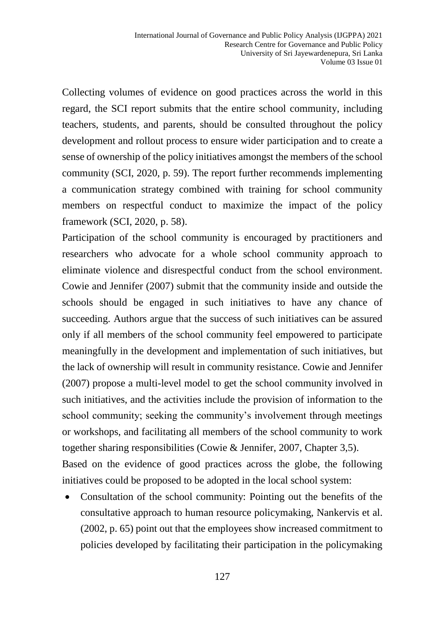Collecting volumes of evidence on good practices across the world in this regard, the SCI report submits that the entire school community, including teachers, students, and parents, should be consulted throughout the policy development and rollout process to ensure wider participation and to create a sense of ownership of the policy initiatives amongst the members of the school community (SCI, 2020, p. 59). The report further recommends implementing a communication strategy combined with training for school community members on respectful conduct to maximize the impact of the policy framework (SCI, 2020, p. 58).

Participation of the school community is encouraged by practitioners and researchers who advocate for a whole school community approach to eliminate violence and disrespectful conduct from the school environment. Cowie and Jennifer (2007) submit that the community inside and outside the schools should be engaged in such initiatives to have any chance of succeeding. Authors argue that the success of such initiatives can be assured only if all members of the school community feel empowered to participate meaningfully in the development and implementation of such initiatives, but the lack of ownership will result in community resistance. Cowie and Jennifer (2007) propose a multi-level model to get the school community involved in such initiatives, and the activities include the provision of information to the school community; seeking the community's involvement through meetings or workshops, and facilitating all members of the school community to work together sharing responsibilities (Cowie & Jennifer, 2007, Chapter 3,5). Based on the evidence of good practices across the globe, the following initiatives could be proposed to be adopted in the local school system:

 Consultation of the school community: Pointing out the benefits of the consultative approach to human resource policymaking, Nankervis et al. (2002, p. 65) point out that the employees show increased commitment to policies developed by facilitating their participation in the policymaking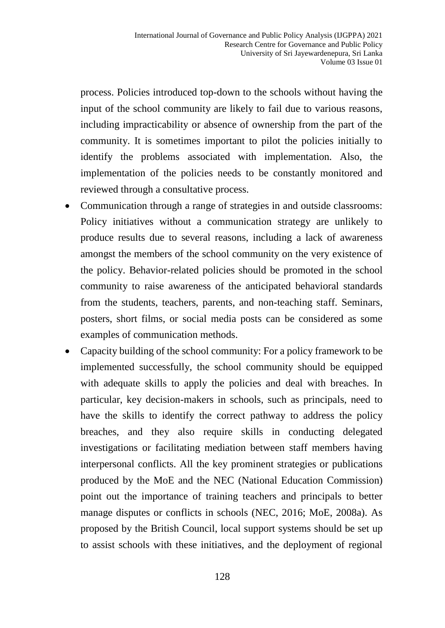process. Policies introduced top-down to the schools without having the input of the school community are likely to fail due to various reasons, including impracticability or absence of ownership from the part of the community. It is sometimes important to pilot the policies initially to identify the problems associated with implementation. Also, the implementation of the policies needs to be constantly monitored and reviewed through a consultative process.

- Communication through a range of strategies in and outside classrooms: Policy initiatives without a communication strategy are unlikely to produce results due to several reasons, including a lack of awareness amongst the members of the school community on the very existence of the policy. Behavior-related policies should be promoted in the school community to raise awareness of the anticipated behavioral standards from the students, teachers, parents, and non-teaching staff. Seminars, posters, short films, or social media posts can be considered as some examples of communication methods.
- Capacity building of the school community: For a policy framework to be implemented successfully, the school community should be equipped with adequate skills to apply the policies and deal with breaches. In particular, key decision-makers in schools, such as principals, need to have the skills to identify the correct pathway to address the policy breaches, and they also require skills in conducting delegated investigations or facilitating mediation between staff members having interpersonal conflicts. All the key prominent strategies or publications produced by the MoE and the NEC (National Education Commission) point out the importance of training teachers and principals to better manage disputes or conflicts in schools (NEC, 2016; MoE, 2008a). As proposed by the British Council, local support systems should be set up to assist schools with these initiatives, and the deployment of regional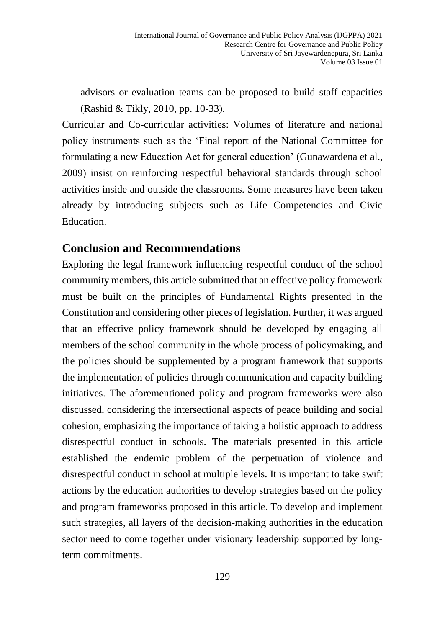advisors or evaluation teams can be proposed to build staff capacities (Rashid & Tikly, 2010, pp. 10-33).

Curricular and Co-curricular activities: Volumes of literature and national policy instruments such as the 'Final report of the National Committee for formulating a new Education Act for general education' (Gunawardena et al., 2009) insist on reinforcing respectful behavioral standards through school activities inside and outside the classrooms. Some measures have been taken already by introducing subjects such as Life Competencies and Civic Education.

#### **Conclusion and Recommendations**

Exploring the legal framework influencing respectful conduct of the school community members, this article submitted that an effective policy framework must be built on the principles of Fundamental Rights presented in the Constitution and considering other pieces of legislation. Further, it was argued that an effective policy framework should be developed by engaging all members of the school community in the whole process of policymaking, and the policies should be supplemented by a program framework that supports the implementation of policies through communication and capacity building initiatives. The aforementioned policy and program frameworks were also discussed, considering the intersectional aspects of peace building and social cohesion, emphasizing the importance of taking a holistic approach to address disrespectful conduct in schools. The materials presented in this article established the endemic problem of the perpetuation of violence and disrespectful conduct in school at multiple levels. It is important to take swift actions by the education authorities to develop strategies based on the policy and program frameworks proposed in this article. To develop and implement such strategies, all layers of the decision-making authorities in the education sector need to come together under visionary leadership supported by longterm commitments.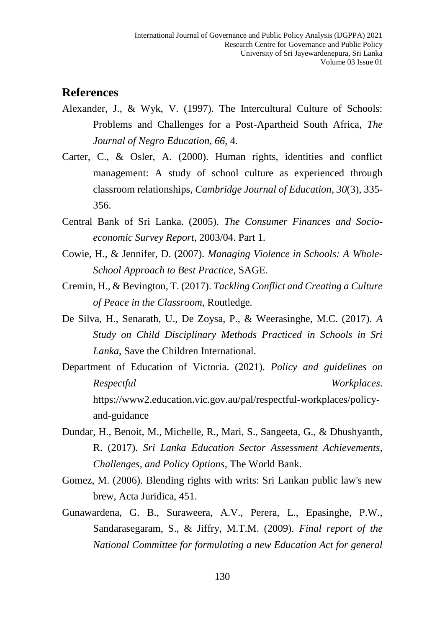#### **References**

- Alexander, J., & Wyk, V. (1997). The Intercultural Culture of Schools: Problems and Challenges for a Post-Apartheid South Africa, *The Journal of Negro Education*, *66*, 4.
- Carter, C., & Osler, A. (2000). Human rights, identities and conflict management: A study of school culture as experienced through classroom relationships, *Cambridge Journal of Education*, *30*(3), 335- 356.
- Central Bank of Sri Lanka. (2005). *The Consumer Finances and Socioeconomic Survey Report*, 2003/04. Part 1.
- Cowie, H., & Jennifer, D. (2007). *Managing Violence in Schools: A Whole-School Approach to Best Practice*, SAGE.
- Cremin, H., & Bevington, T. (2017). *Tackling Conflict and Creating a Culture of Peace in the Classroom*, Routledge.
- De Silva, H., Senarath, U., De Zoysa, P., & Weerasinghe, M.C. (2017). *A Study on Child Disciplinary Methods Practiced in Schools in Sri Lanka*, Save the Children International.
- Department of Education of Victoria. (2021). *Policy and guidelines on Respectful Workplaces*. [https://www2.education.vic.gov.au/pal/respectful-workplaces/policy](https://www2.education.vic.gov.au/pal/respectful-workplaces/policy-and-guidance)[and-guidance](https://www2.education.vic.gov.au/pal/respectful-workplaces/policy-and-guidance)
- Dundar, H., Benoit, M., Michelle, R., Mari, S., Sangeeta, G., & Dhushyanth, R. (2017). *Sri Lanka Education Sector Assessment Achievements, Challenges, and Policy Options*, The World Bank.
- Gomez, M. (2006). Blending rights with writs: Sri Lankan public law's new brew, Acta Juridica, 451.
- Gunawardena, G. B., Suraweera, A.V., Perera, L., Epasinghe, P.W., Sandarasegaram, S., & Jiffry, M.T.M. (2009). *Final report of the National Committee for formulating a new Education Act for general*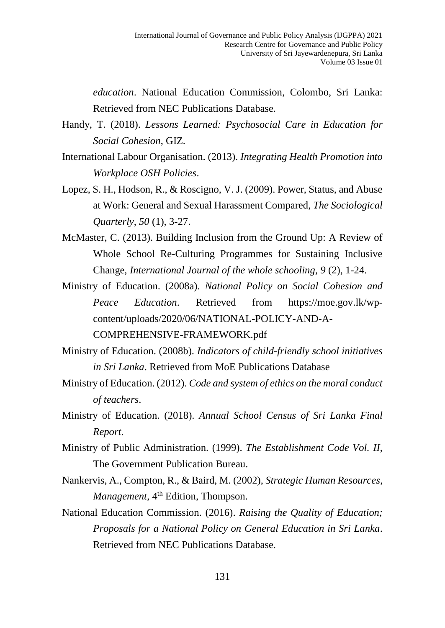*education*. National Education Commission, Colombo, Sri Lanka: Retrieved from NEC Publications Database.

- Handy, T. (2018). *Lessons Learned: Psychosocial Care in Education for Social Cohesion*, GIZ.
- International Labour Organisation. (2013). *Integrating Health Promotion into Workplace OSH Policies*.
- Lopez, S. H., Hodson, R., & Roscigno, V. J. (2009). Power, Status, and Abuse at Work: General and Sexual Harassment Compared, *The Sociological Quarterly*, *50* (1), 3-27.
- McMaster, C. (2013). Building Inclusion from the Ground Up: A Review of Whole School Re-Culturing Programmes for Sustaining Inclusive Change, *International Journal of the whole schooling, 9* (2), 1-24.
- Ministry of Education. (2008a). *National Policy on Social Cohesion and Peace Education*. Retrieved from [https://moe.gov.lk/wp](https://moe.gov.lk/wp-content/uploads/2020/06/NATIONAL-POLICY-AND-A-COMPREHENSIVE-FRAMEWORK.pdf)[content/uploads/2020/06/NATIONAL-POLICY-AND-A-](https://moe.gov.lk/wp-content/uploads/2020/06/NATIONAL-POLICY-AND-A-COMPREHENSIVE-FRAMEWORK.pdf)[COMPREHENSIVE-FRAMEWORK.pdf](https://moe.gov.lk/wp-content/uploads/2020/06/NATIONAL-POLICY-AND-A-COMPREHENSIVE-FRAMEWORK.pdf)
- Ministry of Education. (2008b). *Indicators of child-friendly school initiatives in Sri Lanka*. Retrieved from MoE Publications Database
- Ministry of Education. (2012). *Code and system of ethics on the moral conduct of teachers*.
- Ministry of Education. (2018). *Annual School Census of Sri Lanka Final Report*.
- Ministry of Public Administration. (1999). *The Establishment Code Vol. II*, The Government Publication Bureau.
- Nankervis, A., Compton, R., & Baird, M. (2002), *Strategic Human Resources, Management,* 4<sup>th</sup> Edition, Thompson.
- National Education Commission. (2016). *Raising the Quality of Education; Proposals for a National Policy on General Education in Sri Lanka*. Retrieved from NEC Publications Database.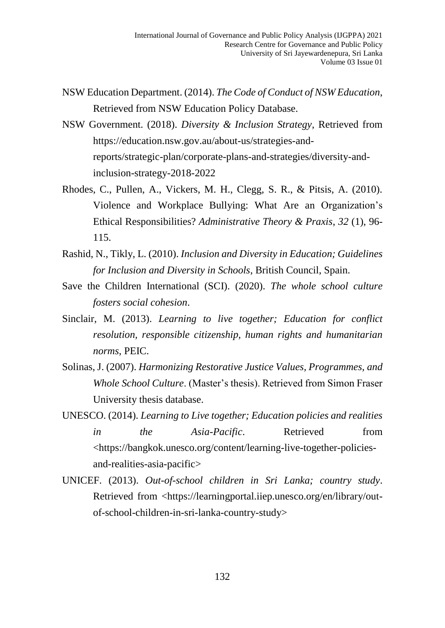- NSW Education Department. (2014). *The Code of Conduct of NSW Education*, Retrieved from NSW Education Policy Database.
- NSW Government. (2018). *Diversity & Inclusion Strategy*, Retrieved from [https://education.nsw.gov.au/about-us/strategies-and](https://education.nsw.gov.au/about-us/strategies-and-reports/strategic-plan/corporate-plans-and-strategies/diversity-and-inclusion-strategy-2018-2022)[reports/strategic-plan/corporate-plans-and-strategies/diversity-and](https://education.nsw.gov.au/about-us/strategies-and-reports/strategic-plan/corporate-plans-and-strategies/diversity-and-inclusion-strategy-2018-2022)[inclusion-strategy-2018-2022](https://education.nsw.gov.au/about-us/strategies-and-reports/strategic-plan/corporate-plans-and-strategies/diversity-and-inclusion-strategy-2018-2022)
- Rhodes, C., Pullen, A., Vickers, M. H., Clegg, S. R., & Pitsis, A. (2010). Violence and Workplace Bullying: What Are an Organization's Ethical Responsibilities? *Administrative Theory & Praxis*, *32* (1), 96- 115.
- Rashid, N., Tikly, L. (2010). *Inclusion and Diversity in Education; Guidelines for Inclusion and Diversity in Schools*, British Council, Spain.
- Save the Children International (SCI). (2020). *The whole school culture fosters social cohesion*.
- Sinclair, M. (2013). *Learning to live together; Education for conflict resolution, responsible citizenship, human rights and humanitarian norms*, PEIC.
- Solinas, J. (2007). *Harmonizing Restorative Justice Values, Programmes, and Whole School Culture*. (Master's thesis). Retrieved from Simon Fraser University thesis database.
- UNESCO. (2014). *Learning to Live together; Education policies and realities in the Asia-Pacific*. Retrieved from <https://bangkok.unesco.org/content/learning-live-together-policiesand-realities-asia-pacific>
- UNICEF. (2013). *Out-of-school children in Sri Lanka; country study*. Retrieved from <https://learningportal.iiep.unesco.org/en/library/outof-school-children-in-sri-lanka-country-study>